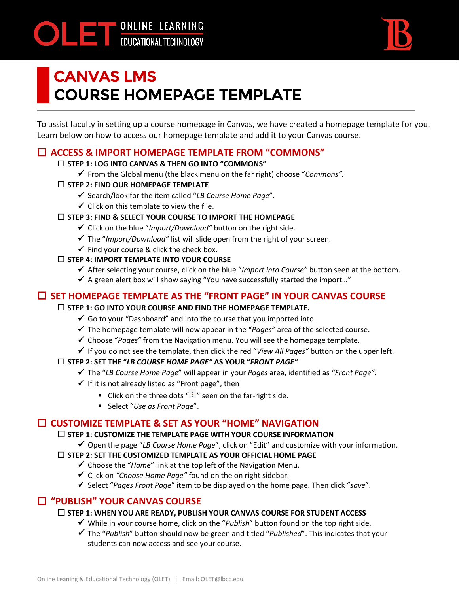ONLINE LEARNING



# CANVAS LMS **COURSE HOMEPAGE TEMPLATE**

To assist faculty in setting up a course homepage in Canvas, we have created a homepage template for you. Learn below on how to access our homepage template and add it to your Canvas course.

# **ACCESS & IMPORT HOMEPAGE TEMPLATE FROM "COMMONS"**

### **STEP 1: LOG INTO CANVAS & THEN GO INTO "COMMONS"**

✓ From the Global menu (the black menu on the far right) choose "*Commons".*

### **STEP 2: FIND OUR HOMEPAGE TEMPLATE**

- ✓ Search/look for the item called "*LB Course Home Page*".
- $\checkmark$  Click on this template to view the file.

#### **STEP 3: FIND & SELECT YOUR COURSE TO IMPORT THE HOMEPAGE**

- ✓ Click on the blue "*Import/Download"* button on the right side.
- ✓ The "*Import/Download"* list will slide open from the right of your screen.
- $\checkmark$  Find your course & click the check box.

### **STEP 4: IMPORT TEMPLATE INTO YOUR COURSE**

- ✓ After selecting your course, click on the blue "*Import into Course"* button seen at the bottom.
- $\checkmark$  A green alert box will show saying "You have successfully started the import..."

# **SET HOMEPAGE TEMPLATE AS THE "FRONT PAGE" IN YOUR CANVAS COURSE**

### **STEP 1: GO INTO YOUR COURSE AND FIND THE HOMEPAGE TEMPLATE.**

- $\checkmark$  Go to your "Dashboard" and into the course that you imported into.
- ✓ The homepage template will now appear in the "*Pages"* area of the selected course.
- ✓ Choose "*Pages"* from the Navigation menu. You will see the homepage template.
- ✓ If you do not see the template, then click the red "*View All Pages"* button on the upper left.

### **STEP 2: SET THE "***LB COURSE HOME PAGE"* **AS YOUR "***FRONT PAGE"*

- ✓ The "*LB Course Home Page*" will appear in your *Pages* area, identified as *"Front Page".*
- $\checkmark$  If it is not already listed as "Front page", then
	- **E** Click on the three dots " $\vdots$  " seen on the far-right side.
	- Select "*Use as Front Page*".

# **CUSTOMIZE TEMPLATE & SET AS YOUR "HOME" NAVIGATION**

#### **STEP 1: CUSTOMIZE THE TEMPLATE PAGE WITH YOUR COURSE INFORMATION**

✓ Open the page "*LB Course Home Page*", click on "Edit" and customize with your information.

## **STEP 2: SET THE CUSTOMIZED TEMPLATE AS YOUR OFFICIAL HOME PAGE**

- ✓ Choose the "*Home*" link at the top left of the Navigation Menu.
- ✓ Click on *"Choose Home Page"* found on the on right sidebar.
- ✓ Select "*Pages Front Page*" item to be displayed on the home page. Then click "*save*".

# **"PUBLISH" YOUR CANVAS COURSE**

### **STEP 1: WHEN YOU ARE READY, PUBLISH YOUR CANVAS COURSE FOR STUDENT ACCESS**

- ✓ While in your course home, click on the "*Publish*" button found on the top right side.
- ✓ The "*Publish*" button should now be green and titled "*Published*". This indicates that your students can now access and see your course.